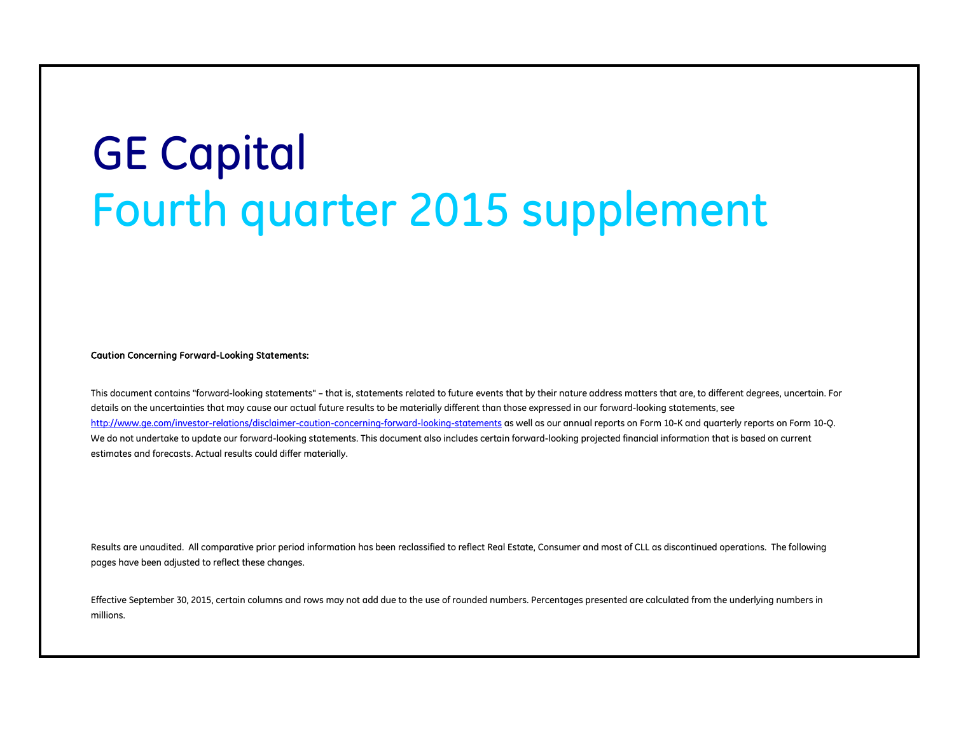# GE Capital Fourth quarter 2015 supplement

Caution Concerning Forward-Looking Statements:

This document contains "forward-looking statements" – that is, statements related to future events that by their nature address matters that are, to different degrees, uncertain. For details on the uncertainties that may cause our actual future results to be materially different than those expressed in our forward-looking statements, see <http://www.ge.com/investor-relations/disclaimer-caution-concerning-forward-looking-statements> as well as our annual reports on Form 10-K and quarterly reports on Form 10-Q. We do not undertake to update our forward-looking statements. This document also includes certain forward-looking projected financial information that is based on current estimates and forecasts. Actual results could differ materially.

Results are unaudited. All comparative prior period information has been reclassified to reflect Real Estate, Consumer and most of CLL as discontinued operations. The following pages have been adjusted to reflect these changes.

Effective September 30, 2015, certain columns and rows may not add due to the use of rounded numbers. Percentages presented are calculated from the underlying numbers in millions.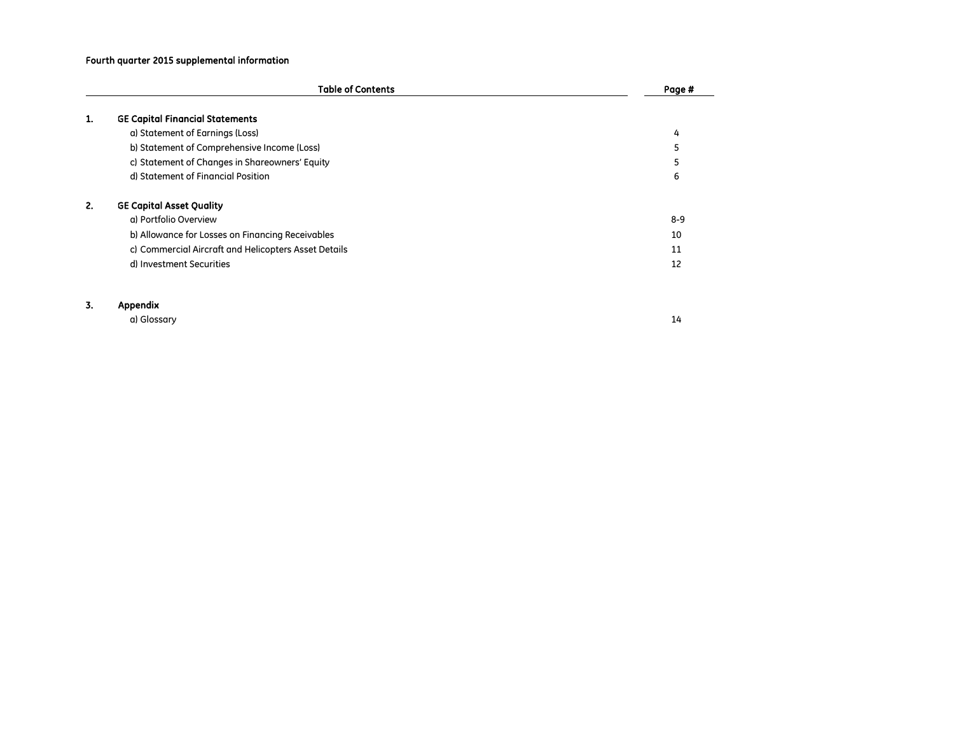# Fourth quarter 2015 supplemental information

|    | <b>Table of Contents</b>                             | Page #  |
|----|------------------------------------------------------|---------|
| ı. | <b>GE Capital Financial Statements</b>               |         |
|    | a) Statement of Earnings (Loss)                      | 4       |
|    | b) Statement of Comprehensive Income (Loss)          | 5       |
|    | c) Statement of Changes in Shareowners' Equity       | 5       |
|    | d) Statement of Financial Position                   | 6       |
| 2. | <b>GE Capital Asset Quality</b>                      |         |
|    | a) Portfolio Overview                                | $8 - 9$ |
|    | b) Allowance for Losses on Financing Receivables     | 10      |
|    | c) Commercial Aircraft and Helicopters Asset Details | 11      |
|    | d) Investment Securities                             | 12      |
|    |                                                      |         |
| 3. | Appendix                                             |         |

a) Glossary 14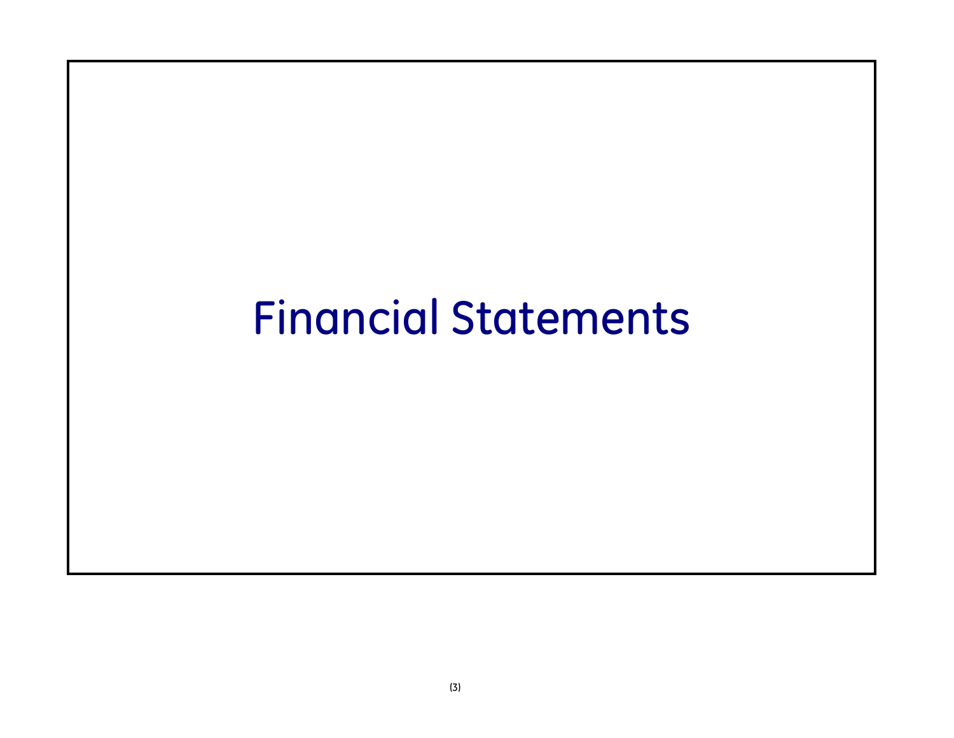# Financial Statements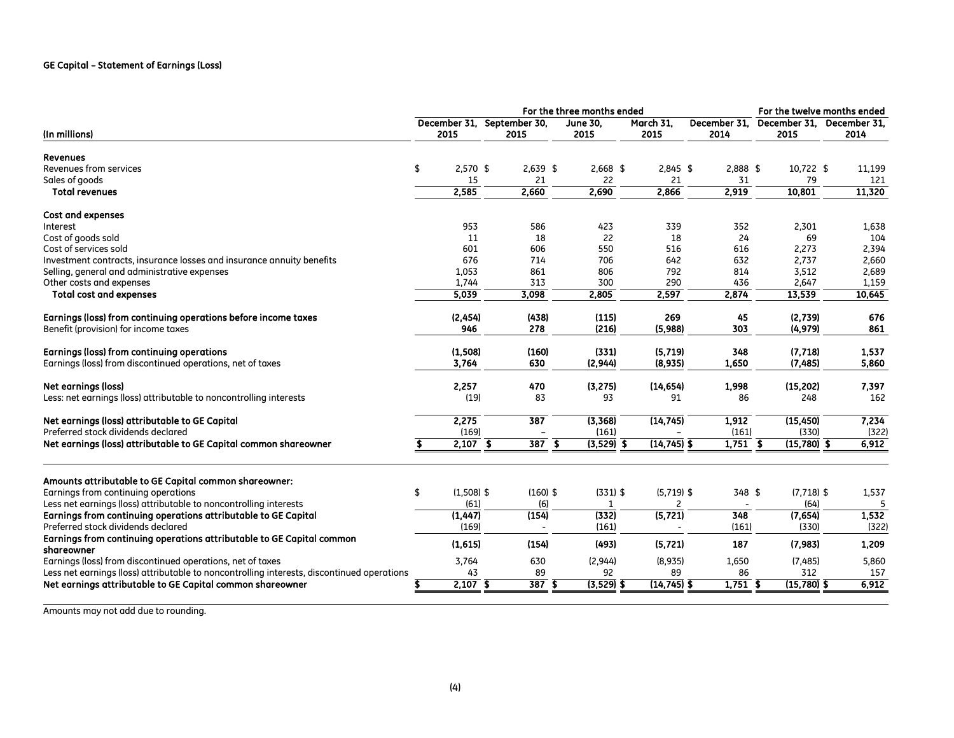# GE Capital – Statement of Earnings (Loss)

|                                                                                            | For the three months ended |              |  |                                    |                         |              |                   |                                                |               |              | For the twelve months ended |  |  |
|--------------------------------------------------------------------------------------------|----------------------------|--------------|--|------------------------------------|-------------------------|--------------|-------------------|------------------------------------------------|---------------|--------------|-----------------------------|--|--|
| (In millions)                                                                              |                            | 2015         |  | December 31, September 30,<br>2015 | <b>June 30,</b><br>2015 |              | March 31,<br>2015 | December 31, December 31, December 31,<br>2014 | 2015          |              | 2014                        |  |  |
| <b>Revenues</b>                                                                            |                            |              |  |                                    |                         |              |                   |                                                |               |              |                             |  |  |
| Revenues from services                                                                     | \$                         | $2,570$ \$   |  | $2,639$ \$                         |                         | $2,668$ \$   | $2,845$ \$        | 2,888 \$                                       |               | 10,722 \$    | 11,199                      |  |  |
| Sales of goods                                                                             |                            | 15           |  | 21                                 |                         | 22           | 21                | 31                                             |               | 79           | 121                         |  |  |
| <b>Total revenues</b>                                                                      |                            | 2,585        |  | 2,660                              |                         | 2,690        | 2,866             | 2,919                                          | 10,801        |              | 11,320                      |  |  |
| <b>Cost and expenses</b>                                                                   |                            |              |  |                                    |                         |              |                   |                                                |               |              |                             |  |  |
| Interest                                                                                   |                            | 953          |  | 586                                |                         | 423          | 339               | 352                                            | 2,301         |              | 1,638                       |  |  |
| Cost of goods sold                                                                         |                            | 11           |  | 18                                 |                         | 22           | 18                | 24                                             |               | 69           | 104                         |  |  |
| Cost of services sold                                                                      |                            | 601          |  | 606                                |                         | 550          | 516               | 616                                            | 2,273         |              | 2,394                       |  |  |
| Investment contracts, insurance losses and insurance annuity benefits                      |                            | 676          |  | 714                                |                         | 706          | 642               | 632                                            | 2,737         |              | 2,660                       |  |  |
| Selling, general and administrative expenses                                               |                            | 1,053        |  | 861                                |                         | 806          | 792               | 814                                            | 3,512         |              | 2,689                       |  |  |
| Other costs and expenses                                                                   |                            | 1,744        |  | 313                                |                         | 300          | 290               | 436                                            | 2,647         |              | 1,159                       |  |  |
| <b>Total cost and expenses</b>                                                             |                            | 5,039        |  | 3,098                              |                         | 2,805        | 2,597             | 2,874                                          | 13,539        |              | 10,645                      |  |  |
| Earnings (loss) from continuing operations before income taxes                             |                            | (2, 454)     |  | (438)                              |                         | (115)        | 269               | 45                                             | (2,739)       |              | 676                         |  |  |
| Benefit (provision) for income taxes                                                       |                            | 946          |  | 278                                |                         | (216)        | (5,988)           | 303                                            | (4, 979)      |              | 861                         |  |  |
| Earnings (loss) from continuing operations                                                 |                            | (1, 508)     |  | (160)                              |                         | (331)        | (5, 719)          | 348                                            | (7, 718)      |              | 1,537                       |  |  |
| Earnings (loss) from discontinued operations, net of taxes                                 |                            | 3,764        |  | 630                                |                         | (2,944)      | (8,935)           | 1,650                                          | (7,485)       |              | 5.860                       |  |  |
| <b>Net earnings (loss)</b>                                                                 |                            | 2,257        |  | 470                                |                         | (3, 275)     | (14, 654)         | 1,998                                          | (15, 202)     |              | 7,397                       |  |  |
| Less: net earnings (loss) attributable to noncontrolling interests                         |                            | (19)         |  | 83                                 |                         | 93           | 91                | 86                                             |               | 248          | 162                         |  |  |
| Net earnings (loss) attributable to GE Capital                                             |                            | 2,275        |  | 387                                |                         | (3, 368)     | (14, 745)         | 1,912                                          | (15, 450)     |              | 7,234                       |  |  |
| Preferred stock dividends declared                                                         |                            | (169)        |  |                                    |                         | (161)        |                   | (161)                                          |               | (330)        | (322)                       |  |  |
| Net earnings (loss) attributable to GE Capital common shareowner                           |                            | $2,107$ \$   |  | $\overline{387}$ $\overline{\$}$   |                         | $(3,529)$ \$ | $(14, 745)$ \$    | $1,751$ \$                                     | $(15,780)$ \$ |              | 6,912                       |  |  |
| Amounts attributable to GE Capital common shareowner:                                      |                            |              |  |                                    |                         |              |                   |                                                |               |              |                             |  |  |
| Earnings from continuing operations                                                        | \$                         | $(1,508)$ \$ |  | $(160)$ \$                         |                         | $(331)$ \$   | $(5,719)$ \$      | 348 \$                                         |               | $(7,718)$ \$ | 1,537                       |  |  |
| Less net earnings (loss) attributable to noncontrolling interests                          |                            | (61)         |  | (6)                                |                         | 1            | 2                 |                                                |               | (64)         | 5                           |  |  |
| Earnings from continuing operations attributable to GE Capital                             |                            | (1, 447)     |  | (154)                              |                         | (332)        | (5, 721)          | 348                                            | (7,654)       |              | 1,532                       |  |  |
| Preferred stock dividends declared                                                         |                            | (169)        |  | $\overline{\phantom{a}}$           |                         | (161)        |                   | (161)                                          |               | (330)        | (322)                       |  |  |
| Earnings from continuing operations attributable to GE Capital common<br>shareowner        |                            | (1,615)      |  | (154)                              |                         | (493)        | (5, 721)          | 187                                            | (7, 983)      |              | 1,209                       |  |  |
| Earnings (loss) from discontinued operations, net of taxes                                 |                            | 3,764        |  | 630                                |                         | (2,944)      | (8,935)           | 1,650                                          | (7,485)       |              | 5,860                       |  |  |
| Less net earnings (loss) attributable to noncontrolling interests, discontinued operations |                            | 43           |  | 89                                 |                         | 92           | 89                | 86                                             |               | 312          | 157                         |  |  |
| Net earnings attributable to GE Capital common shareowner                                  |                            | $2,107$ \$   |  | $\overline{387}$ \$                |                         | $(3,529)$ \$ | $(14, 745)$ \$    | $1,751$ \$                                     | $(15,780)$ \$ |              | 6,912                       |  |  |
|                                                                                            |                            |              |  |                                    |                         |              |                   |                                                |               |              |                             |  |  |

Amounts may not add due to rounding.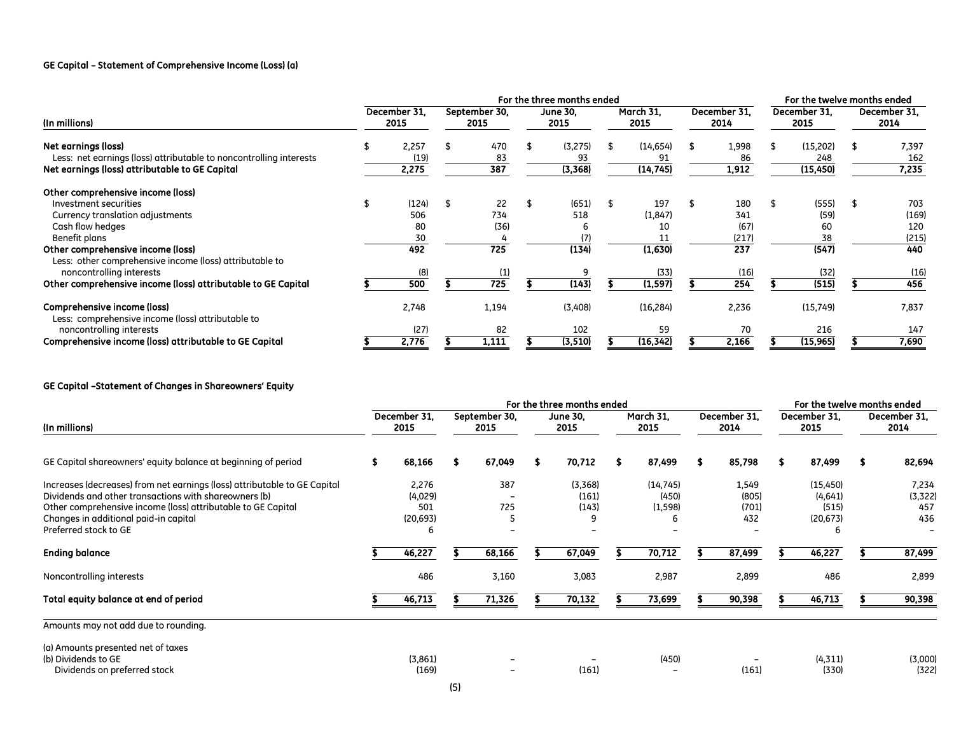# GE Capital – Statement of Comprehensive Income (Loss) (a)

|                                                                                                                                                                          | For the three months ended |                                 |  |                          |  |                              |  |                                  |  |                                    | For the twelve months ended |                                    |  |                                     |
|--------------------------------------------------------------------------------------------------------------------------------------------------------------------------|----------------------------|---------------------------------|--|--------------------------|--|------------------------------|--|----------------------------------|--|------------------------------------|-----------------------------|------------------------------------|--|-------------------------------------|
| (In millions)                                                                                                                                                            |                            | December 31.<br>2015            |  | September 30,<br>2015    |  | <b>June 30.</b><br>2015      |  | March 31.<br>2015                |  | December 31.<br>2014               |                             | December 31.<br>2015               |  | December 31.<br>2014                |
| Net earnings (loss)<br>Less: net earnings (loss) attributable to noncontrolling interests<br>Net earnings (loss) attributable to GE Capital                              |                            | 2,257<br>(19)<br>2,275          |  | 470<br>83<br>387         |  | (3,275)<br>93<br>(3, 368)    |  | (14, 654)<br>91<br>(14, 745)     |  | 1,998<br>86<br>1,912               |                             | (15,202)<br>248<br>(15, 450)       |  | 7,397<br>162<br>7,235               |
| Other comprehensive income (loss)<br>Investment securities<br>Currency translation adjustments<br>Cash flow hedges<br>Benefit plans<br>Other comprehensive income (loss) |                            | (124)<br>506<br>80<br>30<br>492 |  | 22<br>734<br>(36)<br>725 |  | (651)<br>518<br>(7)<br>(134) |  | 197<br>(1, 847)<br>10<br>(1,630) |  | 180<br>341<br>(67)<br>(217)<br>237 |                             | (555)<br>(59)<br>60<br>38<br>(547) |  | 703<br>(169)<br>120<br>(215)<br>440 |
| Less: other comprehensive income (loss) attributable to<br>noncontrolling interests<br>Other comprehensive income (loss) attributable to GE Capital                      |                            | (8)<br>500                      |  | 725                      |  | (143)                        |  | (33)<br>(1, 597)                 |  | (16)<br>254                        |                             | (32)<br>(515)                      |  | (16)<br>456                         |
| Comprehensive income (loss)<br>Less: comprehensive income (loss) attributable to<br>noncontrolling interests<br>Comprehensive income (loss) attributable to GE Capital   |                            | 2,748<br>(27)<br>2,776          |  | 1,194<br>82<br>1,111     |  | (3,408)<br>102<br>(3, 510)   |  | (16, 284)<br>59<br>(16, 342)     |  | 2,236<br>70<br>2,166               |                             | (15, 749)<br>216<br>(15, 965)      |  | 7,837<br>147<br>7,690               |

# GE Capital –Statement of Changes in Shareowners' Equity

|                                                                                                                                                                                                                                                                      | For the three months ended |                                           |  |                       |   |                           |  |                                |  |                                | For the twelve months ended |                                                 |  |                                 |
|----------------------------------------------------------------------------------------------------------------------------------------------------------------------------------------------------------------------------------------------------------------------|----------------------------|-------------------------------------------|--|-----------------------|---|---------------------------|--|--------------------------------|--|--------------------------------|-----------------------------|-------------------------------------------------|--|---------------------------------|
| (In millions)                                                                                                                                                                                                                                                        |                            | December 31.<br>2015                      |  | September 30.<br>2015 |   | <b>June 30,</b><br>2015   |  | March 31,<br>2015              |  | December 31.<br>2014           |                             | December 31.<br>2015                            |  | December 31.<br>2014            |
| GE Capital shareowners' equity balance at beginning of period                                                                                                                                                                                                        |                            | 68,166                                    |  | 67,049                | S | 70,712                    |  | 87,499                         |  | 85,798                         |                             | 87,499                                          |  | 82,694                          |
| Increases (decreases) from net earnings (loss) attributable to GE Capital<br>Dividends and other transactions with shareowners (b)<br>Other comprehensive income (loss) attributable to GE Capital<br>Changes in additional paid-in capital<br>Preferred stock to GE |                            | 2,276<br>(4,029)<br>501<br>(20, 693)<br>6 |  | 387<br>725            |   | (3,368)<br>(161)<br>(143) |  | (14, 745)<br>(450)<br>(1, 598) |  | 1,549<br>(805)<br>(701)<br>432 |                             | (15, 450)<br>(4,641)<br>(515)<br>(20, 673)<br>6 |  | 7,234<br>(3, 322)<br>457<br>436 |
| <b>Ending balance</b>                                                                                                                                                                                                                                                |                            | 46,227                                    |  | 68,166                |   | 67,049                    |  | 70,712                         |  | 87,499                         |                             | 46,227                                          |  | 87,499                          |
| Noncontrolling interests                                                                                                                                                                                                                                             |                            | 486                                       |  | 3,160                 |   | 3,083                     |  | 2,987                          |  | 2,899                          |                             | 486                                             |  | 2,899                           |
| Total equity balance at end of period                                                                                                                                                                                                                                |                            | 46,713                                    |  | 71,326                |   | 70,132                    |  | 73,699                         |  | 90,398                         |                             | 46,713                                          |  | 90,398                          |
| Amounts may not add due to rounding.                                                                                                                                                                                                                                 |                            |                                           |  |                       |   |                           |  |                                |  |                                |                             |                                                 |  |                                 |
| (a) Amounts presented net of taxes<br>(b) Dividends to GE<br>Dividends on preferred stock                                                                                                                                                                            |                            | (3,861)<br>(169)                          |  |                       |   | (161)                     |  | (450)                          |  | (161)                          |                             | (4, 311)<br>(330)                               |  | (3,000)<br>(322)                |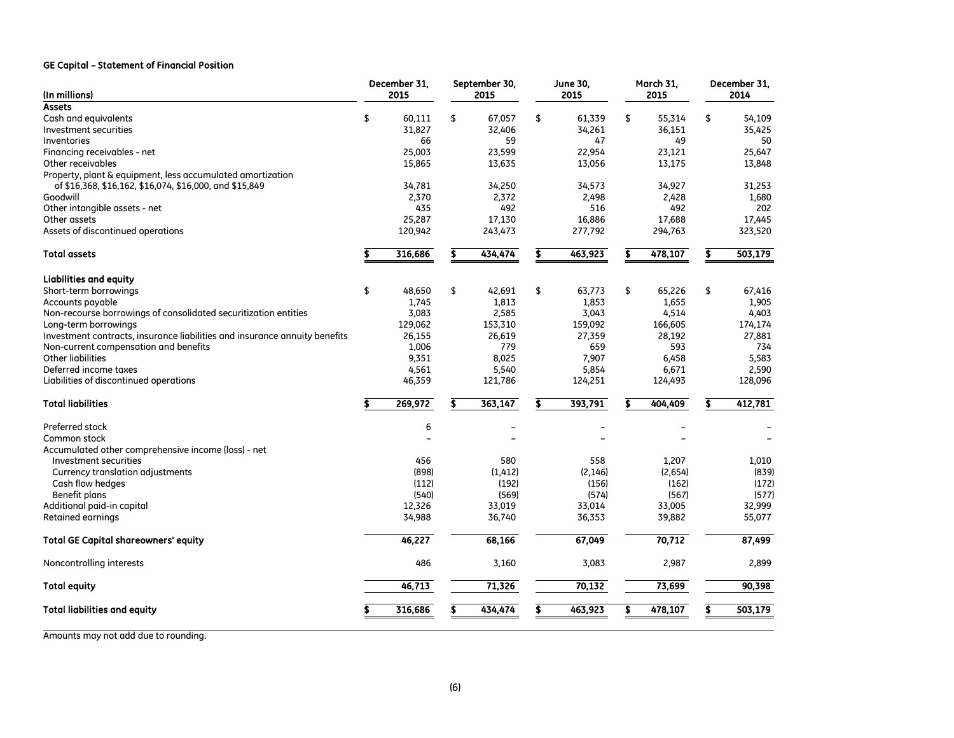## GE Capital – Statement of Financial Position

| <b>Assets</b><br>\$<br>\$<br>\$<br>Cash and equivalents<br>\$<br>60,111<br>67,057<br>\$<br>61,339<br>55,314<br>54,109<br>31,827<br>Investment securities<br>32,406<br>34,261<br>36,151<br>35,425<br>59<br>47<br>Inventories<br>66<br>49<br>50<br>22,954<br>25,647<br>Financing receivables - net<br>25,003<br>23,599<br>23,121<br>Other receivables<br>15,865<br>13,635<br>13,175<br>13,848<br>13,056<br>Property, plant & equipment, less accumulated amortization<br>of \$16,368, \$16,162, \$16,074, \$16,000, and \$15,849<br>34,927<br>34,781<br>34,250<br>34,573<br>31,253<br>Goodwill<br>2,370<br>2,372<br>2,498<br>1,680<br>2,428<br>492<br>202<br>Other intangible assets - net<br>435<br>516<br>492<br>Other assets<br>25,287<br>17,130<br>16,886<br>17,688<br>17,445<br>Assets of discontinued operations<br>120,942<br>277,792<br>294,763<br>243,473<br>323,520<br>316,686<br>434,474<br>463,923<br>478,107<br>503,179<br><b>Total assets</b><br><b>Liabilities and equity</b><br>\$<br>\$<br>\$<br>\$<br>\$<br>Short-term borrowings<br>48,650<br>42,691<br>63,773<br>65,226<br>67,416<br>1,745<br>1,813<br>1,853<br>1.655<br>1,905<br>Accounts payable<br>Non-recourse borrowings of consolidated securitization entities<br>3,083<br>2,585<br>3,043<br>4,514<br>4,403<br>Long-term borrowings<br>129,062<br>153,310<br>159,092<br>166,605<br>174,174<br>Investment contracts, insurance liabilities and insurance annuity benefits<br>27,881<br>26,155<br>26,619<br>27,359<br>28,192<br>Non-current compensation and benefits<br>1,006<br>779<br>659<br>593<br>734<br><b>Other liabilities</b><br>8,025<br>5,583<br>9,351<br>7,907<br>6,458<br>Deferred income taxes<br>5,540<br>2,590<br>4,561<br>5,854<br>6,671<br>Liabilities of discontinued operations<br>46,359<br>121,786<br>124,251<br>124,493<br>128,096<br><b>Total liabilities</b><br>269,972<br>363,147<br>393,791<br>404,409<br>412,781<br>\$<br>\$<br>\$<br>S<br>Preferred stock<br>6<br>Common stock<br>$\overline{\phantom{a}}$<br>Accumulated other comprehensive income (loss) - net<br>Investment securities<br>580<br>558<br>456<br>1.207<br>1,010<br>(839)<br>Currency translation adjustments<br>(898)<br>(1, 412)<br>(2, 146)<br>(2,654)<br>Cash flow hedges<br>(112)<br>(192)<br>(156)<br>(162)<br>(172)<br>(540)<br>Benefit plans<br>(569)<br>(574)<br>(567)<br>(577)<br>Additional paid-in capital<br>12,326<br>33,019<br>33,014<br>33,005<br>32,999<br>Retained earnings<br>55,077<br>34,988<br>36,740<br>36,353<br>39,882<br>70,712<br>46,227<br>68,166<br>67,049<br>87,499<br><b>Total GE Capital shareowners' equity</b><br>Noncontrolling interests<br>486<br>3,160<br>3,083<br>2,987<br>2,899<br>46,713<br>71,326<br>70,132<br>73,699<br>90,398<br><b>Total equity</b><br>463,923<br>478,107<br>503,179<br><b>Total liabilities and equity</b><br>316,686<br>434,474<br>Ŝ.<br>\$ | (In millions) | December 31,<br>2015 | September 30,<br>2015 | <b>June 30,</b><br>2015 | March 31,<br>2015 | December 31,<br>2014 |
|---------------------------------------------------------------------------------------------------------------------------------------------------------------------------------------------------------------------------------------------------------------------------------------------------------------------------------------------------------------------------------------------------------------------------------------------------------------------------------------------------------------------------------------------------------------------------------------------------------------------------------------------------------------------------------------------------------------------------------------------------------------------------------------------------------------------------------------------------------------------------------------------------------------------------------------------------------------------------------------------------------------------------------------------------------------------------------------------------------------------------------------------------------------------------------------------------------------------------------------------------------------------------------------------------------------------------------------------------------------------------------------------------------------------------------------------------------------------------------------------------------------------------------------------------------------------------------------------------------------------------------------------------------------------------------------------------------------------------------------------------------------------------------------------------------------------------------------------------------------------------------------------------------------------------------------------------------------------------------------------------------------------------------------------------------------------------------------------------------------------------------------------------------------------------------------------------------------------------------------------------------------------------------------------------------------------------------------------------------------------------------------------------------------------------------------------------------------------------------------------------------------------------------------------------------------------------------------------------------------------------------------------------------------------------------------------------------------------------------------------------------------------------------------------------------------------------------------------------------------------------------|---------------|----------------------|-----------------------|-------------------------|-------------------|----------------------|
|                                                                                                                                                                                                                                                                                                                                                                                                                                                                                                                                                                                                                                                                                                                                                                                                                                                                                                                                                                                                                                                                                                                                                                                                                                                                                                                                                                                                                                                                                                                                                                                                                                                                                                                                                                                                                                                                                                                                                                                                                                                                                                                                                                                                                                                                                                                                                                                                                                                                                                                                                                                                                                                                                                                                                                                                                                                                                 |               |                      |                       |                         |                   |                      |
|                                                                                                                                                                                                                                                                                                                                                                                                                                                                                                                                                                                                                                                                                                                                                                                                                                                                                                                                                                                                                                                                                                                                                                                                                                                                                                                                                                                                                                                                                                                                                                                                                                                                                                                                                                                                                                                                                                                                                                                                                                                                                                                                                                                                                                                                                                                                                                                                                                                                                                                                                                                                                                                                                                                                                                                                                                                                                 |               |                      |                       |                         |                   |                      |
|                                                                                                                                                                                                                                                                                                                                                                                                                                                                                                                                                                                                                                                                                                                                                                                                                                                                                                                                                                                                                                                                                                                                                                                                                                                                                                                                                                                                                                                                                                                                                                                                                                                                                                                                                                                                                                                                                                                                                                                                                                                                                                                                                                                                                                                                                                                                                                                                                                                                                                                                                                                                                                                                                                                                                                                                                                                                                 |               |                      |                       |                         |                   |                      |
|                                                                                                                                                                                                                                                                                                                                                                                                                                                                                                                                                                                                                                                                                                                                                                                                                                                                                                                                                                                                                                                                                                                                                                                                                                                                                                                                                                                                                                                                                                                                                                                                                                                                                                                                                                                                                                                                                                                                                                                                                                                                                                                                                                                                                                                                                                                                                                                                                                                                                                                                                                                                                                                                                                                                                                                                                                                                                 |               |                      |                       |                         |                   |                      |
|                                                                                                                                                                                                                                                                                                                                                                                                                                                                                                                                                                                                                                                                                                                                                                                                                                                                                                                                                                                                                                                                                                                                                                                                                                                                                                                                                                                                                                                                                                                                                                                                                                                                                                                                                                                                                                                                                                                                                                                                                                                                                                                                                                                                                                                                                                                                                                                                                                                                                                                                                                                                                                                                                                                                                                                                                                                                                 |               |                      |                       |                         |                   |                      |
|                                                                                                                                                                                                                                                                                                                                                                                                                                                                                                                                                                                                                                                                                                                                                                                                                                                                                                                                                                                                                                                                                                                                                                                                                                                                                                                                                                                                                                                                                                                                                                                                                                                                                                                                                                                                                                                                                                                                                                                                                                                                                                                                                                                                                                                                                                                                                                                                                                                                                                                                                                                                                                                                                                                                                                                                                                                                                 |               |                      |                       |                         |                   |                      |
|                                                                                                                                                                                                                                                                                                                                                                                                                                                                                                                                                                                                                                                                                                                                                                                                                                                                                                                                                                                                                                                                                                                                                                                                                                                                                                                                                                                                                                                                                                                                                                                                                                                                                                                                                                                                                                                                                                                                                                                                                                                                                                                                                                                                                                                                                                                                                                                                                                                                                                                                                                                                                                                                                                                                                                                                                                                                                 |               |                      |                       |                         |                   |                      |
|                                                                                                                                                                                                                                                                                                                                                                                                                                                                                                                                                                                                                                                                                                                                                                                                                                                                                                                                                                                                                                                                                                                                                                                                                                                                                                                                                                                                                                                                                                                                                                                                                                                                                                                                                                                                                                                                                                                                                                                                                                                                                                                                                                                                                                                                                                                                                                                                                                                                                                                                                                                                                                                                                                                                                                                                                                                                                 |               |                      |                       |                         |                   |                      |
|                                                                                                                                                                                                                                                                                                                                                                                                                                                                                                                                                                                                                                                                                                                                                                                                                                                                                                                                                                                                                                                                                                                                                                                                                                                                                                                                                                                                                                                                                                                                                                                                                                                                                                                                                                                                                                                                                                                                                                                                                                                                                                                                                                                                                                                                                                                                                                                                                                                                                                                                                                                                                                                                                                                                                                                                                                                                                 |               |                      |                       |                         |                   |                      |
|                                                                                                                                                                                                                                                                                                                                                                                                                                                                                                                                                                                                                                                                                                                                                                                                                                                                                                                                                                                                                                                                                                                                                                                                                                                                                                                                                                                                                                                                                                                                                                                                                                                                                                                                                                                                                                                                                                                                                                                                                                                                                                                                                                                                                                                                                                                                                                                                                                                                                                                                                                                                                                                                                                                                                                                                                                                                                 |               |                      |                       |                         |                   |                      |
|                                                                                                                                                                                                                                                                                                                                                                                                                                                                                                                                                                                                                                                                                                                                                                                                                                                                                                                                                                                                                                                                                                                                                                                                                                                                                                                                                                                                                                                                                                                                                                                                                                                                                                                                                                                                                                                                                                                                                                                                                                                                                                                                                                                                                                                                                                                                                                                                                                                                                                                                                                                                                                                                                                                                                                                                                                                                                 |               |                      |                       |                         |                   |                      |
|                                                                                                                                                                                                                                                                                                                                                                                                                                                                                                                                                                                                                                                                                                                                                                                                                                                                                                                                                                                                                                                                                                                                                                                                                                                                                                                                                                                                                                                                                                                                                                                                                                                                                                                                                                                                                                                                                                                                                                                                                                                                                                                                                                                                                                                                                                                                                                                                                                                                                                                                                                                                                                                                                                                                                                                                                                                                                 |               |                      |                       |                         |                   |                      |
|                                                                                                                                                                                                                                                                                                                                                                                                                                                                                                                                                                                                                                                                                                                                                                                                                                                                                                                                                                                                                                                                                                                                                                                                                                                                                                                                                                                                                                                                                                                                                                                                                                                                                                                                                                                                                                                                                                                                                                                                                                                                                                                                                                                                                                                                                                                                                                                                                                                                                                                                                                                                                                                                                                                                                                                                                                                                                 |               |                      |                       |                         |                   |                      |
|                                                                                                                                                                                                                                                                                                                                                                                                                                                                                                                                                                                                                                                                                                                                                                                                                                                                                                                                                                                                                                                                                                                                                                                                                                                                                                                                                                                                                                                                                                                                                                                                                                                                                                                                                                                                                                                                                                                                                                                                                                                                                                                                                                                                                                                                                                                                                                                                                                                                                                                                                                                                                                                                                                                                                                                                                                                                                 |               |                      |                       |                         |                   |                      |
|                                                                                                                                                                                                                                                                                                                                                                                                                                                                                                                                                                                                                                                                                                                                                                                                                                                                                                                                                                                                                                                                                                                                                                                                                                                                                                                                                                                                                                                                                                                                                                                                                                                                                                                                                                                                                                                                                                                                                                                                                                                                                                                                                                                                                                                                                                                                                                                                                                                                                                                                                                                                                                                                                                                                                                                                                                                                                 |               |                      |                       |                         |                   |                      |
|                                                                                                                                                                                                                                                                                                                                                                                                                                                                                                                                                                                                                                                                                                                                                                                                                                                                                                                                                                                                                                                                                                                                                                                                                                                                                                                                                                                                                                                                                                                                                                                                                                                                                                                                                                                                                                                                                                                                                                                                                                                                                                                                                                                                                                                                                                                                                                                                                                                                                                                                                                                                                                                                                                                                                                                                                                                                                 |               |                      |                       |                         |                   |                      |
|                                                                                                                                                                                                                                                                                                                                                                                                                                                                                                                                                                                                                                                                                                                                                                                                                                                                                                                                                                                                                                                                                                                                                                                                                                                                                                                                                                                                                                                                                                                                                                                                                                                                                                                                                                                                                                                                                                                                                                                                                                                                                                                                                                                                                                                                                                                                                                                                                                                                                                                                                                                                                                                                                                                                                                                                                                                                                 |               |                      |                       |                         |                   |                      |
|                                                                                                                                                                                                                                                                                                                                                                                                                                                                                                                                                                                                                                                                                                                                                                                                                                                                                                                                                                                                                                                                                                                                                                                                                                                                                                                                                                                                                                                                                                                                                                                                                                                                                                                                                                                                                                                                                                                                                                                                                                                                                                                                                                                                                                                                                                                                                                                                                                                                                                                                                                                                                                                                                                                                                                                                                                                                                 |               |                      |                       |                         |                   |                      |
|                                                                                                                                                                                                                                                                                                                                                                                                                                                                                                                                                                                                                                                                                                                                                                                                                                                                                                                                                                                                                                                                                                                                                                                                                                                                                                                                                                                                                                                                                                                                                                                                                                                                                                                                                                                                                                                                                                                                                                                                                                                                                                                                                                                                                                                                                                                                                                                                                                                                                                                                                                                                                                                                                                                                                                                                                                                                                 |               |                      |                       |                         |                   |                      |
|                                                                                                                                                                                                                                                                                                                                                                                                                                                                                                                                                                                                                                                                                                                                                                                                                                                                                                                                                                                                                                                                                                                                                                                                                                                                                                                                                                                                                                                                                                                                                                                                                                                                                                                                                                                                                                                                                                                                                                                                                                                                                                                                                                                                                                                                                                                                                                                                                                                                                                                                                                                                                                                                                                                                                                                                                                                                                 |               |                      |                       |                         |                   |                      |
|                                                                                                                                                                                                                                                                                                                                                                                                                                                                                                                                                                                                                                                                                                                                                                                                                                                                                                                                                                                                                                                                                                                                                                                                                                                                                                                                                                                                                                                                                                                                                                                                                                                                                                                                                                                                                                                                                                                                                                                                                                                                                                                                                                                                                                                                                                                                                                                                                                                                                                                                                                                                                                                                                                                                                                                                                                                                                 |               |                      |                       |                         |                   |                      |
|                                                                                                                                                                                                                                                                                                                                                                                                                                                                                                                                                                                                                                                                                                                                                                                                                                                                                                                                                                                                                                                                                                                                                                                                                                                                                                                                                                                                                                                                                                                                                                                                                                                                                                                                                                                                                                                                                                                                                                                                                                                                                                                                                                                                                                                                                                                                                                                                                                                                                                                                                                                                                                                                                                                                                                                                                                                                                 |               |                      |                       |                         |                   |                      |
|                                                                                                                                                                                                                                                                                                                                                                                                                                                                                                                                                                                                                                                                                                                                                                                                                                                                                                                                                                                                                                                                                                                                                                                                                                                                                                                                                                                                                                                                                                                                                                                                                                                                                                                                                                                                                                                                                                                                                                                                                                                                                                                                                                                                                                                                                                                                                                                                                                                                                                                                                                                                                                                                                                                                                                                                                                                                                 |               |                      |                       |                         |                   |                      |
|                                                                                                                                                                                                                                                                                                                                                                                                                                                                                                                                                                                                                                                                                                                                                                                                                                                                                                                                                                                                                                                                                                                                                                                                                                                                                                                                                                                                                                                                                                                                                                                                                                                                                                                                                                                                                                                                                                                                                                                                                                                                                                                                                                                                                                                                                                                                                                                                                                                                                                                                                                                                                                                                                                                                                                                                                                                                                 |               |                      |                       |                         |                   |                      |
|                                                                                                                                                                                                                                                                                                                                                                                                                                                                                                                                                                                                                                                                                                                                                                                                                                                                                                                                                                                                                                                                                                                                                                                                                                                                                                                                                                                                                                                                                                                                                                                                                                                                                                                                                                                                                                                                                                                                                                                                                                                                                                                                                                                                                                                                                                                                                                                                                                                                                                                                                                                                                                                                                                                                                                                                                                                                                 |               |                      |                       |                         |                   |                      |
|                                                                                                                                                                                                                                                                                                                                                                                                                                                                                                                                                                                                                                                                                                                                                                                                                                                                                                                                                                                                                                                                                                                                                                                                                                                                                                                                                                                                                                                                                                                                                                                                                                                                                                                                                                                                                                                                                                                                                                                                                                                                                                                                                                                                                                                                                                                                                                                                                                                                                                                                                                                                                                                                                                                                                                                                                                                                                 |               |                      |                       |                         |                   |                      |
|                                                                                                                                                                                                                                                                                                                                                                                                                                                                                                                                                                                                                                                                                                                                                                                                                                                                                                                                                                                                                                                                                                                                                                                                                                                                                                                                                                                                                                                                                                                                                                                                                                                                                                                                                                                                                                                                                                                                                                                                                                                                                                                                                                                                                                                                                                                                                                                                                                                                                                                                                                                                                                                                                                                                                                                                                                                                                 |               |                      |                       |                         |                   |                      |
|                                                                                                                                                                                                                                                                                                                                                                                                                                                                                                                                                                                                                                                                                                                                                                                                                                                                                                                                                                                                                                                                                                                                                                                                                                                                                                                                                                                                                                                                                                                                                                                                                                                                                                                                                                                                                                                                                                                                                                                                                                                                                                                                                                                                                                                                                                                                                                                                                                                                                                                                                                                                                                                                                                                                                                                                                                                                                 |               |                      |                       |                         |                   |                      |
|                                                                                                                                                                                                                                                                                                                                                                                                                                                                                                                                                                                                                                                                                                                                                                                                                                                                                                                                                                                                                                                                                                                                                                                                                                                                                                                                                                                                                                                                                                                                                                                                                                                                                                                                                                                                                                                                                                                                                                                                                                                                                                                                                                                                                                                                                                                                                                                                                                                                                                                                                                                                                                                                                                                                                                                                                                                                                 |               |                      |                       |                         |                   |                      |
|                                                                                                                                                                                                                                                                                                                                                                                                                                                                                                                                                                                                                                                                                                                                                                                                                                                                                                                                                                                                                                                                                                                                                                                                                                                                                                                                                                                                                                                                                                                                                                                                                                                                                                                                                                                                                                                                                                                                                                                                                                                                                                                                                                                                                                                                                                                                                                                                                                                                                                                                                                                                                                                                                                                                                                                                                                                                                 |               |                      |                       |                         |                   |                      |
|                                                                                                                                                                                                                                                                                                                                                                                                                                                                                                                                                                                                                                                                                                                                                                                                                                                                                                                                                                                                                                                                                                                                                                                                                                                                                                                                                                                                                                                                                                                                                                                                                                                                                                                                                                                                                                                                                                                                                                                                                                                                                                                                                                                                                                                                                                                                                                                                                                                                                                                                                                                                                                                                                                                                                                                                                                                                                 |               |                      |                       |                         |                   |                      |
|                                                                                                                                                                                                                                                                                                                                                                                                                                                                                                                                                                                                                                                                                                                                                                                                                                                                                                                                                                                                                                                                                                                                                                                                                                                                                                                                                                                                                                                                                                                                                                                                                                                                                                                                                                                                                                                                                                                                                                                                                                                                                                                                                                                                                                                                                                                                                                                                                                                                                                                                                                                                                                                                                                                                                                                                                                                                                 |               |                      |                       |                         |                   |                      |
|                                                                                                                                                                                                                                                                                                                                                                                                                                                                                                                                                                                                                                                                                                                                                                                                                                                                                                                                                                                                                                                                                                                                                                                                                                                                                                                                                                                                                                                                                                                                                                                                                                                                                                                                                                                                                                                                                                                                                                                                                                                                                                                                                                                                                                                                                                                                                                                                                                                                                                                                                                                                                                                                                                                                                                                                                                                                                 |               |                      |                       |                         |                   |                      |
|                                                                                                                                                                                                                                                                                                                                                                                                                                                                                                                                                                                                                                                                                                                                                                                                                                                                                                                                                                                                                                                                                                                                                                                                                                                                                                                                                                                                                                                                                                                                                                                                                                                                                                                                                                                                                                                                                                                                                                                                                                                                                                                                                                                                                                                                                                                                                                                                                                                                                                                                                                                                                                                                                                                                                                                                                                                                                 |               |                      |                       |                         |                   |                      |
|                                                                                                                                                                                                                                                                                                                                                                                                                                                                                                                                                                                                                                                                                                                                                                                                                                                                                                                                                                                                                                                                                                                                                                                                                                                                                                                                                                                                                                                                                                                                                                                                                                                                                                                                                                                                                                                                                                                                                                                                                                                                                                                                                                                                                                                                                                                                                                                                                                                                                                                                                                                                                                                                                                                                                                                                                                                                                 |               |                      |                       |                         |                   |                      |

Amounts may not add due to rounding.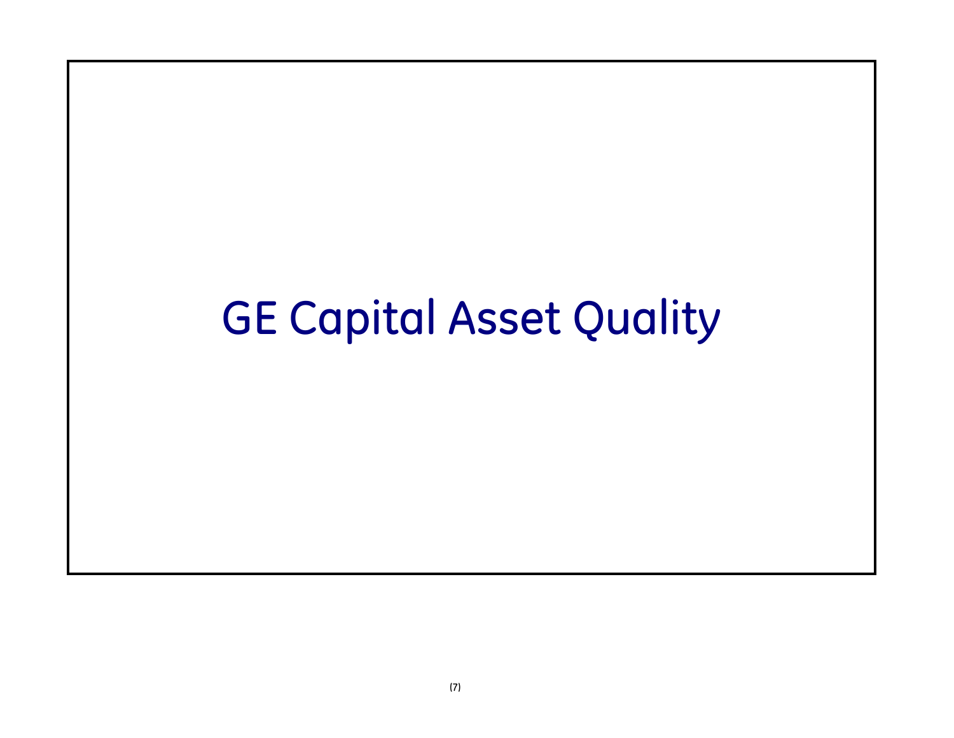# GE Capital Asset Quality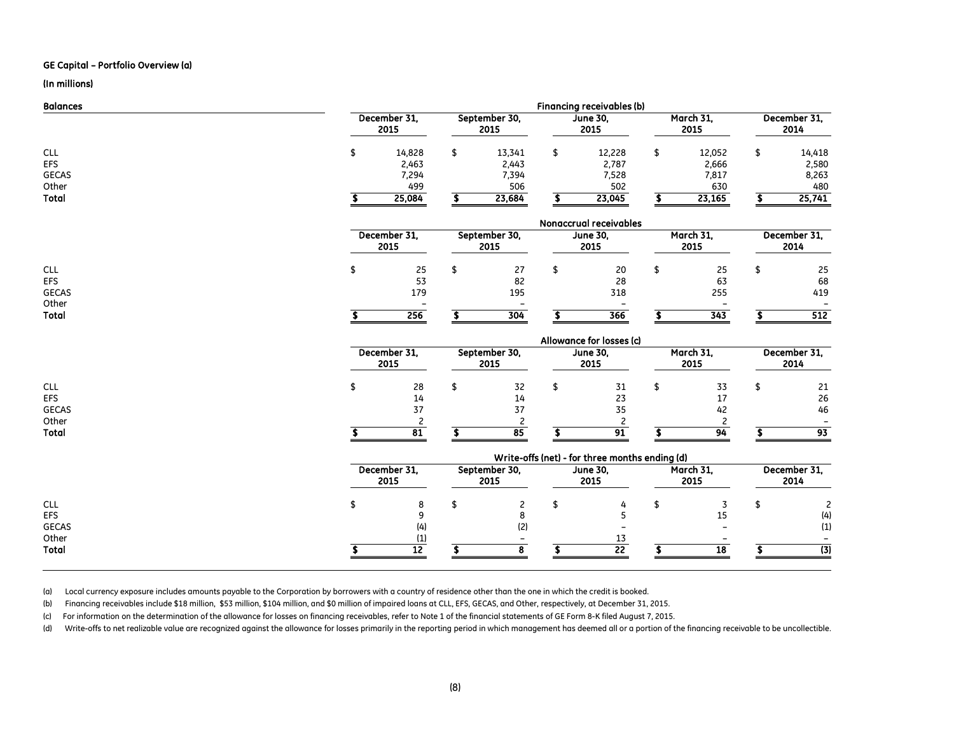### GE Capital – Portfolio Overview (a)

### (In millions)

| Financing receivables (b) |        |                      |        |               |        |                 |        |           |                      |  |  |
|---------------------------|--------|----------------------|--------|---------------|--------|-----------------|--------|-----------|----------------------|--|--|
|                           |        |                      | 2015   |               | 2015   |                 | 2015   |           | December 31,<br>2014 |  |  |
|                           | 14,828 |                      | 13,341 |               | 12,228 |                 | 12,052 |           | 14,418               |  |  |
|                           | 2,463  |                      | 2,443  |               | 2,787  |                 | 2,666  |           | 2,580                |  |  |
|                           | 7,294  |                      | 7,394  |               | 7,528  |                 | 7,817  |           | 8,263                |  |  |
|                           | 499    |                      | 506    |               | 502    |                 | 630    |           | 480                  |  |  |
|                           | 25,084 |                      | 23,684 |               | 23,045 |                 | 23,165 |           | 25,741               |  |  |
|                           |        | December 31.<br>2015 |        | September 30, |        | <b>June 30,</b> |        | March 31, |                      |  |  |

|              | Nonaccrual receivables |                      |  |                          |  |                         |  |                   |  |                      |  |  |
|--------------|------------------------|----------------------|--|--------------------------|--|-------------------------|--|-------------------|--|----------------------|--|--|
|              |                        | December 31,<br>2015 |  | September 30,<br>2015    |  | <b>June 30,</b><br>2015 |  | March 31,<br>2015 |  | December 31,<br>2014 |  |  |
| CLL          |                        | 25                   |  |                          |  | 20                      |  | 25                |  | 25                   |  |  |
| EFS          |                        | 53                   |  | 82                       |  | 28                      |  | 63                |  | 68                   |  |  |
| <b>GECAS</b> |                        | 179                  |  | 195                      |  | 318                     |  | 255               |  | 419                  |  |  |
| Other        |                        |                      |  | $\overline{\phantom{0}}$ |  |                         |  |                   |  |                      |  |  |
| Total        |                        | 256                  |  | 304                      |  | 366                     |  | 343               |  | 512                  |  |  |

|              |                      |  |                       |  | Allowance for losses (c) |  |                   |  |                      |
|--------------|----------------------|--|-----------------------|--|--------------------------|--|-------------------|--|----------------------|
|              | December 31,<br>2015 |  | September 30,<br>2015 |  | <b>June 30,</b><br>2015  |  | March 31,<br>2015 |  | December 31,<br>2014 |
| <b>CLL</b>   | 28                   |  | 32                    |  |                          |  | 33                |  | 21                   |
| <b>EFS</b>   | 14                   |  | 14                    |  | 23                       |  | 17                |  | 26                   |
| <b>GECAS</b> |                      |  |                       |  | 35                       |  | 42                |  | 46                   |
| Other        |                      |  |                       |  |                          |  |                   |  |                      |
| <b>Total</b> | 81                   |  | 85                    |  | 91                       |  | 94                |  | 93                   |

|                                            | Write-offs (net) - for three months ending (d) |                      |  |                       |  |                         |  |                   |  |                      |  |
|--------------------------------------------|------------------------------------------------|----------------------|--|-----------------------|--|-------------------------|--|-------------------|--|----------------------|--|
|                                            |                                                | December 31,<br>2015 |  | September 30,<br>2015 |  | <b>June 30,</b><br>2015 |  | March 31.<br>2015 |  | December 31,<br>2014 |  |
| <b>CLL</b><br>EFS<br><b>GECAS</b><br>Other |                                                |                      |  | (2)<br>-              |  |                         |  | τp                |  | (4)<br>(1)           |  |
| <b>Total</b>                               |                                                |                      |  |                       |  | 22                      |  | 18                |  | (3)                  |  |

(a) Local currency exposure includes amounts payable to the Corporation by borrowers with a country of residence other than the one in which the credit is booked.

(b) Financing receivables include \$18 million, \$53 million, \$104 million, and \$0 million of impaired loans at CLL, EFS, GECAS, and Other, respectively, at December 31, 2015.

(c) For information on the determination of the allowance for losses on financing receivables, refer to Note 1 of the financial statements of GE Form 8-K filed August 7, 2015.

(d) Write-offs to net realizable value are recognized against the allowance for losses primarily in the reporting period in which management has deemed all or a portion of the financing receivable to be uncollectible.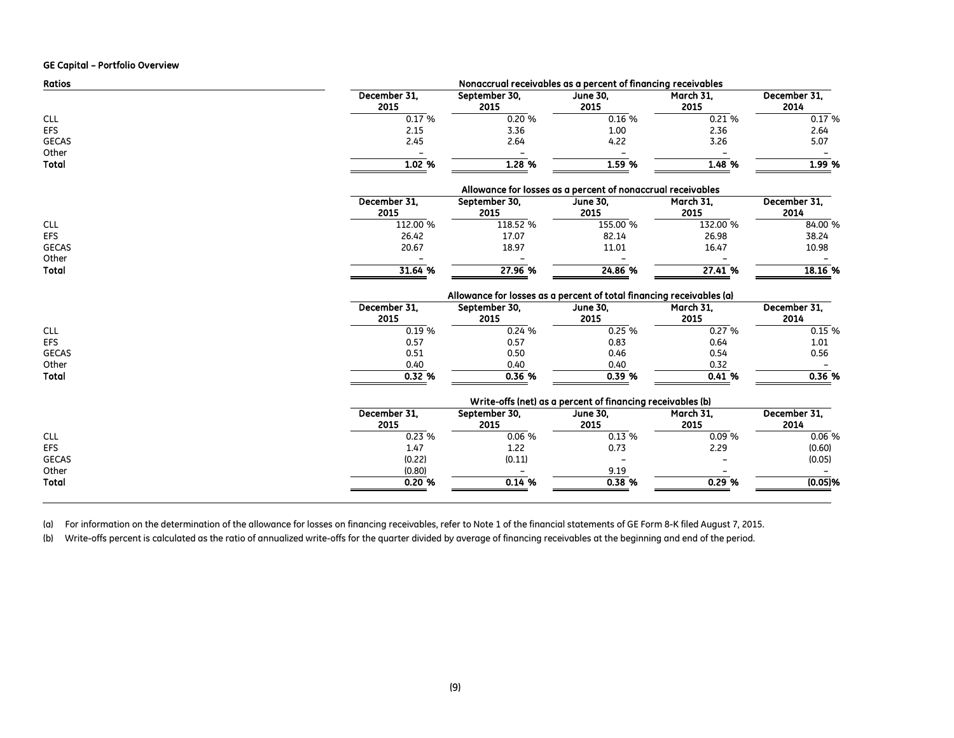#### GE Capital – Portfolio Overview

| <b>Ratios</b>         | Nonaccrual receivables as a percent of financing receivables |                                                                      |                                                             |                   |                      |  |  |  |  |  |  |
|-----------------------|--------------------------------------------------------------|----------------------------------------------------------------------|-------------------------------------------------------------|-------------------|----------------------|--|--|--|--|--|--|
|                       | December 31,<br>2015                                         | September 30,<br>2015                                                | <b>June 30,</b><br>2015                                     | March 31,<br>2015 | December 31,<br>2014 |  |  |  |  |  |  |
| <b>CLL</b>            | 0.17%                                                        | 0.20%                                                                | 0.16%                                                       | 0.21%             | 0.17%                |  |  |  |  |  |  |
| <b>EFS</b>            | 2.15                                                         | 3.36                                                                 | 1.00                                                        | 2.36              | 2.64                 |  |  |  |  |  |  |
| <b>GECAS</b>          | 2.45                                                         | 2.64                                                                 | 4.22                                                        | 3.26              | 5.07                 |  |  |  |  |  |  |
| Other<br><b>Total</b> | 1.02 %                                                       | 1.28%                                                                | 1.59%                                                       | 1.48 %            | 1.99 %               |  |  |  |  |  |  |
|                       |                                                              |                                                                      | Allowance for losses as a percent of nonaccrual receivables |                   |                      |  |  |  |  |  |  |
|                       | December 31.<br>2015                                         | September 30,<br>2015                                                | <b>June 30,</b><br>2015                                     | March 31,<br>2015 | December 31,<br>2014 |  |  |  |  |  |  |
| <b>CLL</b>            | 112.00 %                                                     | 118.52 %                                                             | 155.00 %                                                    | 132.00 %          | 84.00 %              |  |  |  |  |  |  |
| <b>EFS</b>            | 26.42                                                        | 17.07                                                                | 82.14                                                       | 26.98             | 38.24                |  |  |  |  |  |  |
| <b>GECAS</b>          | 20.67                                                        | 18.97                                                                | 11.01                                                       | 16.47             | 10.98                |  |  |  |  |  |  |
| Other                 |                                                              |                                                                      |                                                             |                   |                      |  |  |  |  |  |  |
| <b>Total</b>          | 31.64 %                                                      | 27.96 %                                                              | 24.86 %                                                     | 27.41%            | 18.16 %              |  |  |  |  |  |  |
|                       |                                                              | Allowance for losses as a percent of total financing receivables (a) |                                                             |                   |                      |  |  |  |  |  |  |
|                       | December 31,                                                 | September 30,                                                        | <b>June 30,</b>                                             | March 31,         | December 31,         |  |  |  |  |  |  |
|                       | 2015                                                         | 2015                                                                 | 2015                                                        | 2015              | 2014                 |  |  |  |  |  |  |
| <b>CLL</b>            | 0.19%                                                        | 0.24 %                                                               | 0.25%                                                       | 0.27 %            | 0.15%                |  |  |  |  |  |  |
| <b>EFS</b>            | 0.57                                                         | 0.57                                                                 | 0.83                                                        | 0.64              | 1.01                 |  |  |  |  |  |  |
| <b>GECAS</b>          | 0.51                                                         | 0.50                                                                 | 0.46                                                        | 0.54              | 0.56                 |  |  |  |  |  |  |
| Other                 | 0.40                                                         | 0.40                                                                 | 0.40                                                        | 0.32              |                      |  |  |  |  |  |  |
| <b>Total</b>          | 0.32%                                                        | 0.36%                                                                | 0.39%                                                       | 0.41%             | 0.36%                |  |  |  |  |  |  |
|                       |                                                              |                                                                      | Write-offs (net) as a percent of financing receivables (b)  |                   |                      |  |  |  |  |  |  |
|                       | December 31.                                                 | September 30,                                                        | <b>June 30,</b>                                             | March 31,         | December 31,         |  |  |  |  |  |  |
|                       | 2015                                                         | 2015                                                                 | 2015                                                        | 2015              | 2014                 |  |  |  |  |  |  |
| <b>CLL</b>            | 0.23%                                                        | 0.06%                                                                | 0.13%                                                       | 0.09%             | 0.06%                |  |  |  |  |  |  |
| <b>EFS</b>            | 1.47                                                         | 1.22                                                                 | 0.73                                                        | 2.29              | (0.60)               |  |  |  |  |  |  |
| <b>GECAS</b>          | (0.22)                                                       | (0.11)                                                               |                                                             |                   | (0.05)               |  |  |  |  |  |  |
| Other                 | (0.80)                                                       |                                                                      | 9.19                                                        |                   |                      |  |  |  |  |  |  |
| Total                 | 0.20%                                                        | 0.14 %                                                               | 0.38 %                                                      | 0.29 %            | $(0.05)$ %           |  |  |  |  |  |  |

(a) For information on the determination of the allowance for losses on financing receivables, refer to Note 1 of the financial statements of GE Form 8-K filed August 7, 2015.

(b) Write-offs percent is calculated as the ratio of annualized write-offs for the quarter divided by average of financing receivables at the beginning and end of the period.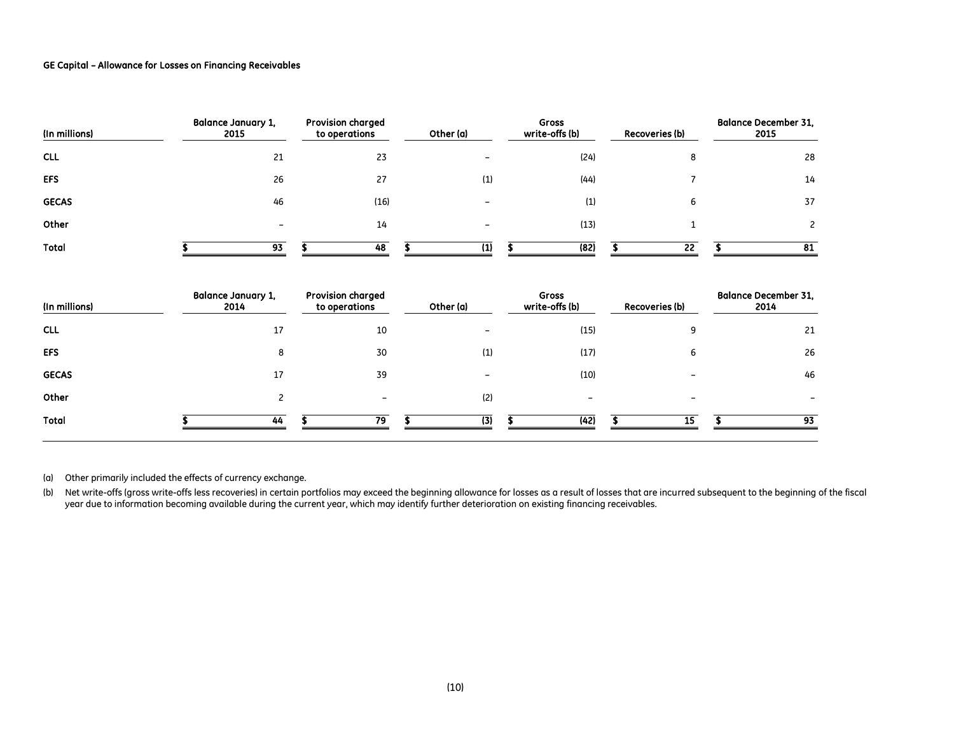### GE Capital – Allowance for Losses on Financing Receivables

| (In millions) | <b>Balance January 1,</b><br>2015 | <b>Provision charged</b><br>to operations | Other (a) | <b>Gross</b><br>write-offs (b) | <b>Recoveries (b)</b> | <b>Balance December 31,</b><br>2015 |
|---------------|-----------------------------------|-------------------------------------------|-----------|--------------------------------|-----------------------|-------------------------------------|
| <b>CLL</b>    | 21                                | 23                                        |           | (24)                           | o                     | 28                                  |
| <b>EFS</b>    | 26                                | 27                                        | (1)       | (44)                           |                       | 14                                  |
| <b>GECAS</b>  | 46                                | (16)                                      |           | (1)                            | <sub>b</sub>          | 37                                  |
| Other         | $\overline{\phantom{0}}$          | 14                                        |           | (13)                           |                       |                                     |
| <b>Total</b>  | 93                                | 48                                        | 11        | (82)                           | 22                    | 81                                  |

| (In millions) | <b>Balance January 1,</b><br>2014 | <b>Provision charged</b><br>to operations | Other (a) | <b>Gross</b><br>write-offs (b) | <b>Recoveries (b)</b> | <b>Balance December 31,</b><br>2014 |
|---------------|-----------------------------------|-------------------------------------------|-----------|--------------------------------|-----------------------|-------------------------------------|
| <b>CLL</b>    | 17                                | 10                                        |           | (15)                           |                       | 21                                  |
| <b>EFS</b>    | 8                                 | 30                                        | (1)       | (17)                           | ь                     | 26                                  |
| <b>GECAS</b>  | 17                                | 39                                        |           | (10)                           |                       | 46                                  |
| Other         |                                   |                                           | (2)       |                                | -                     |                                     |
| <b>Total</b>  | 44                                | 79                                        | (3)       | (42)                           | 15                    | 93                                  |

(a) Other primarily included the effects of currency exchange.

(b) Net write-offs (gross write-offs less recoveries) in certain portfolios may exceed the beginning allowance for losses as a result of losses that are incurred subsequent to the beginning of the fiscal year due to information becoming available during the current year, which may identify further deterioration on existing financing receivables.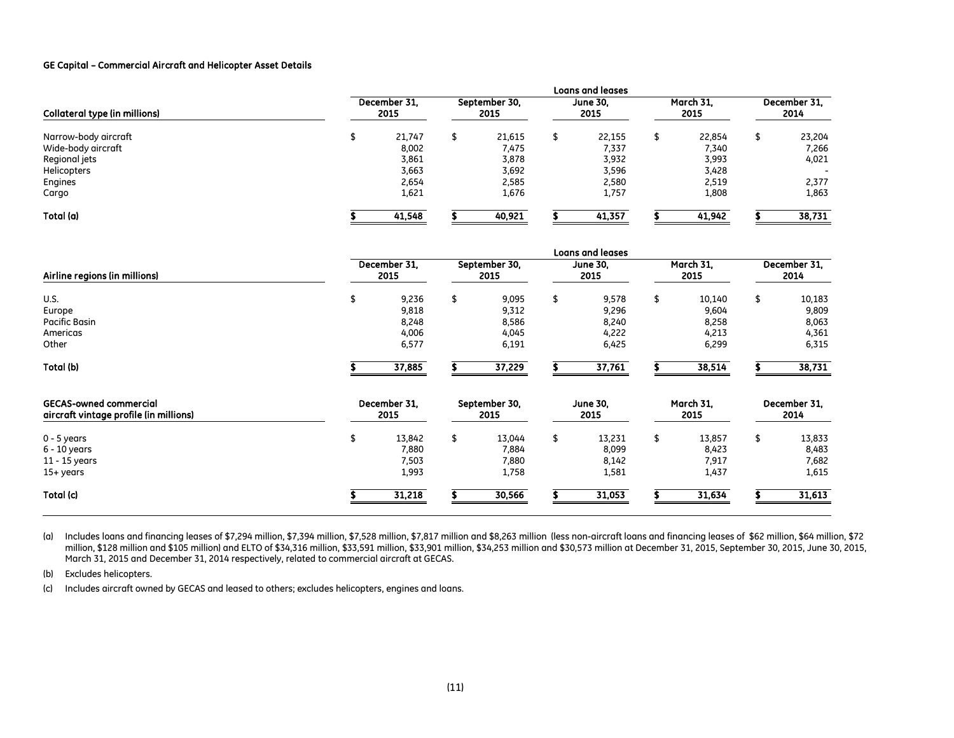### GE Capital – Commercial Aircraft and Helicopter Asset Details

|                               |                      |  |                       | <b>Loans and leases</b> |                   |                      |        |  |  |  |  |  |  |  |
|-------------------------------|----------------------|--|-----------------------|-------------------------|-------------------|----------------------|--------|--|--|--|--|--|--|--|
| Collateral type (in millions) | December 31.<br>2015 |  | September 30,<br>2015 | <b>June 30,</b><br>2015 | March 31.<br>2015 | December 31.<br>2014 |        |  |  |  |  |  |  |  |
| Narrow-body aircraft          | 21,747               |  | 21,615                | 22,155                  | 22,854            |                      | 23,204 |  |  |  |  |  |  |  |
| Wide-body aircraft            | 8,002                |  | 7,475                 | 7,337                   | 7,340             |                      | 7,266  |  |  |  |  |  |  |  |
| Regional jets                 | 3,861                |  | 3,878                 | 3,932                   | 3,993             |                      | 4,021  |  |  |  |  |  |  |  |
| Helicopters                   | 3,663                |  | 3,692                 | 3,596                   | 3,428             |                      |        |  |  |  |  |  |  |  |
| Engines                       | 2,654                |  | 2,585                 | 2,580                   | 2,519             |                      | 2,377  |  |  |  |  |  |  |  |
| Cargo                         | 1,621                |  | 1,676                 | 1,757                   | 1,808             |                      | 1,863  |  |  |  |  |  |  |  |
| Total (a)                     | 41,548               |  | 40,921                | 41,357                  | 41,942            |                      | 38,731 |  |  |  |  |  |  |  |

|                                                                         |                      | <b>Loans and leases</b>                   |                       |                                           |                         |                                           |                   |                                            |                      |                                            |  |  |  |  |
|-------------------------------------------------------------------------|----------------------|-------------------------------------------|-----------------------|-------------------------------------------|-------------------------|-------------------------------------------|-------------------|--------------------------------------------|----------------------|--------------------------------------------|--|--|--|--|
| Airline regions (in millions)                                           | December 31,<br>2015 |                                           | September 30,<br>2015 |                                           |                         | <b>June 30,</b><br>2015                   |                   | March 31,<br>2015                          | December 31,<br>2014 |                                            |  |  |  |  |
| <b>U.S.</b><br>Europe<br><b>Pacific Basin</b><br>Americas<br>Other      | \$                   | 9,236<br>9,818<br>8,248<br>4,006<br>6,577 | \$                    | 9,095<br>9,312<br>8,586<br>4,045<br>6,191 | \$                      | 9,578<br>9,296<br>8,240<br>4,222<br>6,425 | \$                | 10,140<br>9,604<br>8,258<br>4,213<br>6,299 | \$                   | 10,183<br>9,809<br>8,063<br>4,361<br>6,315 |  |  |  |  |
| Total (b)                                                               |                      | 37,885                                    |                       | 37,229                                    |                         | 37,761                                    |                   | 38,514                                     |                      | 38,731                                     |  |  |  |  |
| <b>GECAS-owned commercial</b><br>aircraft vintage profile (in millions) | December 31.<br>2015 |                                           | September 30,<br>2015 |                                           | <b>June 30,</b><br>2015 |                                           | March 31,<br>2015 |                                            | December 31.<br>2014 |                                            |  |  |  |  |
| $0 - 5$ years<br>$6 - 10$ years<br>11 - 15 years<br>15+ years           | \$                   | 13,842<br>7,880<br>7,503<br>1,993         | \$                    | 13,044<br>7,884<br>7,880<br>1,758         | \$                      | 13,231<br>8,099<br>8,142<br>1,581         | \$                | 13,857<br>8,423<br>7,917<br>1,437          | \$                   | 13,833<br>8,483<br>7,682<br>1,615          |  |  |  |  |
| Total (c)                                                               |                      | 31,218                                    |                       | 30,566                                    |                         | 31,053                                    |                   | 31,634                                     |                      | 31,613                                     |  |  |  |  |

(a) Includes loans and financing leases of \$7,294 million, \$7,394 million, \$7,528 million, \$7,817 million and \$8,263 million (less non-aircraft loans and financing leases of \$62 million, \$64 million, \$72 million, \$128 million and \$105 million) and ELTO of \$34,316 million, \$33,591 million, \$33,901 million, \$34,253 million and \$30,573 million at December 31, 2015, September 30, 2015, June 30, 2015, March 31, 2015 and December 31, 2014 respectively, related to commercial aircraft at GECAS.

(b) Excludes helicopters.

(c) Includes aircraft owned by GECAS and leased to others; excludes helicopters, engines and loans.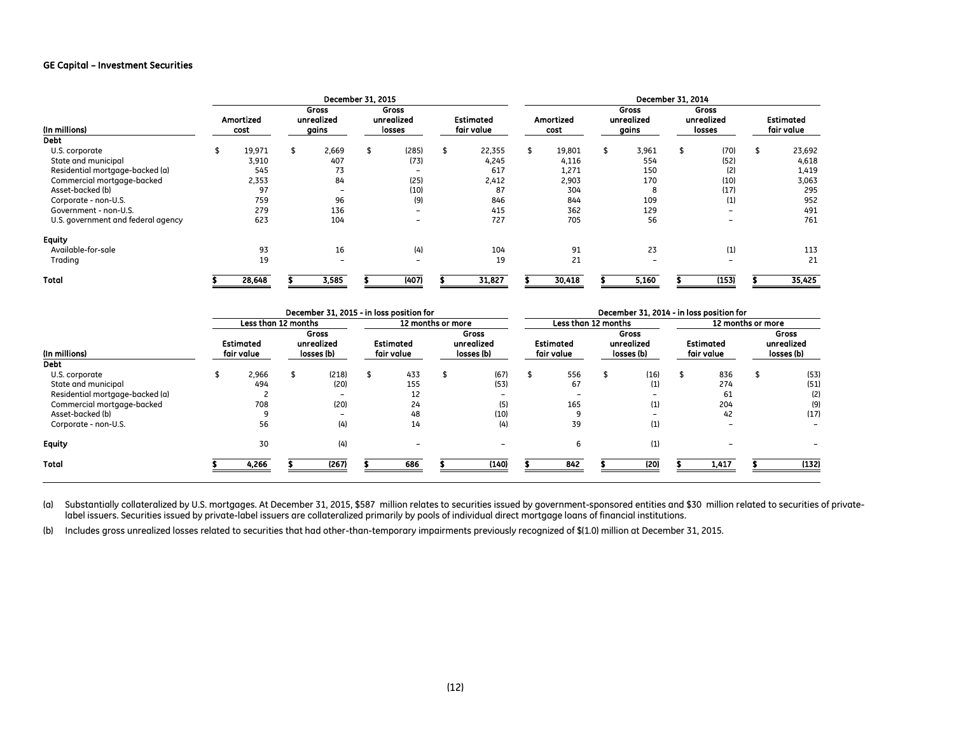### GE Capital – Investment Securities

|                                    |                   |        |                              | December 31, 2015 |                               |       |                                | December 31, 2014 |                   |        |                              |       |                               |       |                                |        |
|------------------------------------|-------------------|--------|------------------------------|-------------------|-------------------------------|-------|--------------------------------|-------------------|-------------------|--------|------------------------------|-------|-------------------------------|-------|--------------------------------|--------|
| (In millions)                      | Amortized<br>cost |        | Gross<br>unrealized<br>gains |                   | Gross<br>unrealized<br>losses |       | <b>Estimated</b><br>fair value |                   | Amortized<br>cost |        | Gross<br>unrealized<br>gains |       | Gross<br>unrealized<br>losses |       | <b>Estimated</b><br>fair value |        |
| Debt                               |                   |        |                              |                   |                               |       |                                |                   |                   |        |                              |       |                               |       |                                |        |
| U.S. corporate                     | \$                | 19,971 |                              | 2,669             |                               | (285) | \$                             | 22,355            |                   | 19,801 |                              | 3,961 |                               | (70)  |                                | 23,692 |
| State and municipal                |                   | 3,910  |                              | 407               |                               | (73)  |                                | 4,245             |                   | 4,116  |                              | 554   |                               | (52)  |                                | 4,618  |
| Residential mortgage-backed (a)    |                   | 545    |                              | 73                |                               | -     |                                | 617               |                   | 1,271  |                              | 150   |                               | (2)   |                                | 1,419  |
| Commercial mortgage-backed         |                   | 2,353  |                              | 84                |                               | (25)  |                                | 2,412             |                   | 2,903  |                              | 170   |                               | (10)  |                                | 3,063  |
| Asset-backed (b)                   |                   | 97     |                              |                   |                               | (10)  |                                | 87                |                   | 304    |                              | 8     |                               | (17)  |                                | 295    |
| Corporate - non-U.S.               |                   | 759    |                              | 96                |                               | (9)   |                                | 846               |                   | 844    |                              | 109   |                               | (1)   |                                | 952    |
| Government - non-U.S.              |                   | 279    |                              | 136               |                               | -     |                                | 415               |                   | 362    |                              | 129   |                               | -     |                                | 491    |
| U.S. government and federal agency |                   | 623    |                              | 104               |                               | -     |                                | 727               |                   | 705    |                              | 56    |                               | -     |                                | 761    |
| <b>Equity</b>                      |                   |        |                              |                   |                               |       |                                |                   |                   |        |                              |       |                               |       |                                |        |
| Available-for-sale                 |                   | 93     |                              | 16                |                               | (4)   |                                | 104               |                   | 91     |                              | 23    |                               | (1)   |                                | 113    |
| Trading                            |                   | 19     |                              | <b>11</b>         |                               |       |                                | 19                |                   | 21     |                              |       |                               |       |                                | 21     |
| <b>Total</b>                       |                   | 28,648 |                              | 3,585             |                               | (407) |                                | 31,827            |                   | 30,418 |                              | 5,160 |                               | (153) |                                | 35,425 |

| December 31, 2015 - in loss position for |                                |                     |                                   |                   |                                |     |                                   |       |                                | December 31, 2014 - in loss position for |                                   |                   |                                |       |                                   |       |  |  |  |
|------------------------------------------|--------------------------------|---------------------|-----------------------------------|-------------------|--------------------------------|-----|-----------------------------------|-------|--------------------------------|------------------------------------------|-----------------------------------|-------------------|--------------------------------|-------|-----------------------------------|-------|--|--|--|
|                                          |                                | Less than 12 months |                                   | 12 months or more |                                |     |                                   |       | Less than 12 months            |                                          |                                   | 12 months or more |                                |       |                                   |       |  |  |  |
| (In millions)                            | <b>Estimated</b><br>fair value |                     | Gross<br>unrealized<br>losses (b) |                   | <b>Estimated</b><br>fair value |     | Gross<br>unrealized<br>losses (b) |       | <b>Estimated</b><br>fair value |                                          | Gross<br>unrealized<br>losses (b) |                   | <b>Estimated</b><br>fair value |       | Gross<br>unrealized<br>losses (b) |       |  |  |  |
| Debt                                     |                                |                     |                                   |                   |                                |     |                                   |       |                                |                                          |                                   |                   |                                |       |                                   |       |  |  |  |
| U.S. corporate                           |                                | 2,966               |                                   | (218)             |                                | 433 |                                   | (67)  |                                | 556                                      |                                   | (16)              |                                | 836   |                                   | (53)  |  |  |  |
| State and municipal                      |                                | 494                 |                                   | (20)              |                                | 155 |                                   | (53)  |                                | 67                                       |                                   | (1)               |                                | 274   |                                   | (51)  |  |  |  |
| Residential mortgage-backed (a)          |                                |                     |                                   |                   |                                | 12  |                                   |       |                                |                                          |                                   |                   |                                | 61    |                                   | (2)   |  |  |  |
| Commercial mortgage-backed               |                                | 708                 |                                   | (20)              |                                | 24  |                                   | (5)   |                                | 165                                      |                                   | (1)               |                                | 204   |                                   | (9)   |  |  |  |
| Asset-backed (b)                         |                                |                     |                                   |                   |                                | 48  |                                   | (10)  |                                |                                          |                                   |                   |                                | 42    |                                   | (17)  |  |  |  |
| Corporate - non-U.S.                     |                                | 56                  |                                   | (4)               |                                | 14  |                                   | (4)   |                                | 39                                       |                                   | (1)               |                                |       |                                   |       |  |  |  |
| <b>Equity</b>                            |                                | 30                  |                                   | (4)               |                                |     |                                   |       |                                | 6                                        |                                   | (1)               |                                |       |                                   |       |  |  |  |
| Total                                    |                                | 4,266               |                                   | (267)             |                                | 686 |                                   | (140) |                                | 842                                      |                                   | (20)              |                                | 1,417 |                                   | (132) |  |  |  |
|                                          |                                |                     |                                   |                   |                                |     |                                   |       |                                |                                          |                                   |                   |                                |       |                                   |       |  |  |  |

(a) Substantially collateralized by U.S. mortgages. At December 31, 2015, \$587 million relates to securities issued by government-sponsored entities and \$30 million related to securities of privatelabel issuers. Securities issued by private-label issuers are collateralized primarily by pools of individual direct mortgage loans of financial institutions.

(b) Includes gross unrealized losses related to securities that had other-than-temporary impairments previously recognized of \$(1.0) million at December 31, 2015.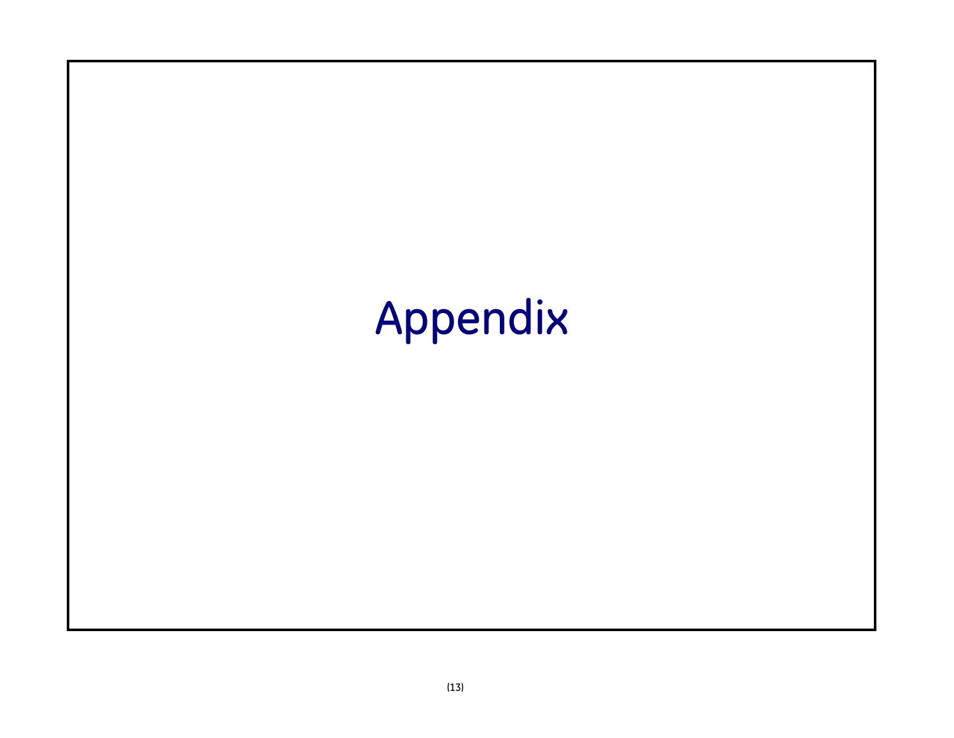